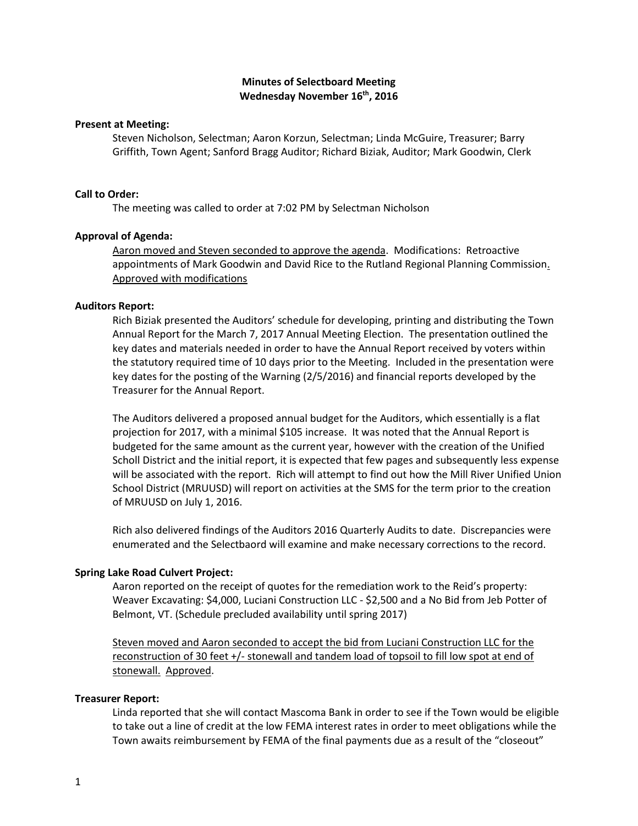# **Minutes of Selectboard Meeting Wednesday November 16th, 2016**

#### **Present at Meeting:**

Steven Nicholson, Selectman; Aaron Korzun, Selectman; Linda McGuire, Treasurer; Barry Griffith, Town Agent; Sanford Bragg Auditor; Richard Biziak, Auditor; Mark Goodwin, Clerk

### **Call to Order:**

The meeting was called to order at 7:02 PM by Selectman Nicholson

## **Approval of Agenda:**

Aaron moved and Steven seconded to approve the agenda. Modifications: Retroactive appointments of Mark Goodwin and David Rice to the Rutland Regional Planning Commission. Approved with modifications

## **Auditors Report:**

Rich Biziak presented the Auditors' schedule for developing, printing and distributing the Town Annual Report for the March 7, 2017 Annual Meeting Election. The presentation outlined the key dates and materials needed in order to have the Annual Report received by voters within the statutory required time of 10 days prior to the Meeting. Included in the presentation were key dates for the posting of the Warning (2/5/2016) and financial reports developed by the Treasurer for the Annual Report.

The Auditors delivered a proposed annual budget for the Auditors, which essentially is a flat projection for 2017, with a minimal \$105 increase. It was noted that the Annual Report is budgeted for the same amount as the current year, however with the creation of the Unified Scholl District and the initial report, it is expected that few pages and subsequently less expense will be associated with the report. Rich will attempt to find out how the Mill River Unified Union School District (MRUUSD) will report on activities at the SMS for the term prior to the creation of MRUUSD on July 1, 2016.

Rich also delivered findings of the Auditors 2016 Quarterly Audits to date. Discrepancies were enumerated and the Selectbaord will examine and make necessary corrections to the record.

#### **Spring Lake Road Culvert Project:**

Aaron reported on the receipt of quotes for the remediation work to the Reid's property: Weaver Excavating: \$4,000, Luciani Construction LLC - \$2,500 and a No Bid from Jeb Potter of Belmont, VT. (Schedule precluded availability until spring 2017)

Steven moved and Aaron seconded to accept the bid from Luciani Construction LLC for the reconstruction of 30 feet +/- stonewall and tandem load of topsoil to fill low spot at end of stonewall. Approved.

### **Treasurer Report:**

Linda reported that she will contact Mascoma Bank in order to see if the Town would be eligible to take out a line of credit at the low FEMA interest rates in order to meet obligations while the Town awaits reimbursement by FEMA of the final payments due as a result of the "closeout"